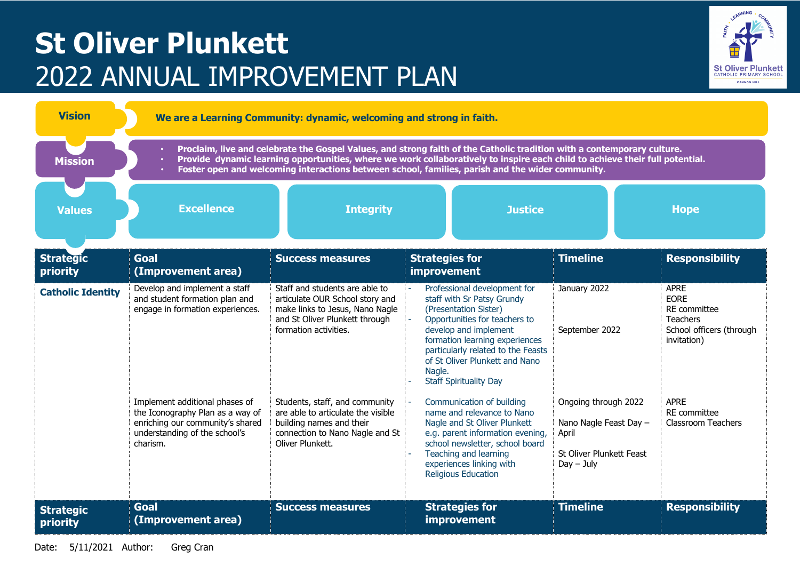## **St Oliver Plunkett** 2022 ANNUAL IMPROVEMENT PLAN



| <b>Vision</b>                | We are a Learning Community: dynamic, welcoming and strong in faith.                                                                                                                                                                                                                                                                                        |                                                                                                                                                                 |                                                                                                                                                                                                                                                                                                          |                                                                                                     |                                                                                                   |  |  |  |
|------------------------------|-------------------------------------------------------------------------------------------------------------------------------------------------------------------------------------------------------------------------------------------------------------------------------------------------------------------------------------------------------------|-----------------------------------------------------------------------------------------------------------------------------------------------------------------|----------------------------------------------------------------------------------------------------------------------------------------------------------------------------------------------------------------------------------------------------------------------------------------------------------|-----------------------------------------------------------------------------------------------------|---------------------------------------------------------------------------------------------------|--|--|--|
| <b>Mission</b>               | Proclaim, live and celebrate the Gospel Values, and strong faith of the Catholic tradition with a contemporary culture.<br>Provide dynamic learning opportunities, where we work collaboratively to inspire each child to achieve their full potential.<br>Foster open and welcoming interactions between school, families, parish and the wider community. |                                                                                                                                                                 |                                                                                                                                                                                                                                                                                                          |                                                                                                     |                                                                                                   |  |  |  |
| <b>Values</b>                | <b>Excellence</b>                                                                                                                                                                                                                                                                                                                                           | <b>Integrity</b>                                                                                                                                                | <b>Justice</b>                                                                                                                                                                                                                                                                                           |                                                                                                     | <b>Hope</b>                                                                                       |  |  |  |
| <b>Strategic</b><br>priority | <b>Goal</b><br>(Improvement area)                                                                                                                                                                                                                                                                                                                           | <b>Success measures</b>                                                                                                                                         | <b>Strategies for</b><br>improvement                                                                                                                                                                                                                                                                     | <b>Timeline</b>                                                                                     | <b>Responsibility</b>                                                                             |  |  |  |
| <b>Catholic Identity</b>     | Develop and implement a staff<br>and student formation plan and<br>engage in formation experiences.                                                                                                                                                                                                                                                         | Staff and students are able to<br>articulate OUR School story and<br>make links to Jesus, Nano Nagle<br>and St Oliver Plunkett through<br>formation activities. | Professional development for<br>staff with Sr Patsy Grundy<br>(Presentation Sister)<br>Opportunities for teachers to<br>ä,<br>develop and implement<br>formation learning experiences<br>particularly related to the Feasts<br>of St Oliver Plunkett and Nano<br>Nagle.<br><b>Staff Spirituality Day</b> | January 2022<br>September 2022                                                                      | <b>APRE</b><br><b>EORE</b><br>RE committee<br>Teachers<br>School officers (through<br>invitation) |  |  |  |
|                              | Implement additional phases of<br>the Iconography Plan as a way of<br>enriching our community's shared<br>understanding of the school's<br>charism.                                                                                                                                                                                                         | Students, staff, and community<br>are able to articulate the visible<br>building names and their<br>connection to Nano Nagle and St<br>Oliver Plunkett.         | Communication of building<br>name and relevance to Nano<br>Nagle and St Oliver Plunkett<br>e.g. parent information evening,<br>school newsletter, school board<br>Teaching and learning<br>experiences linking with<br><b>Religious Education</b>                                                        | Ongoing through 2022<br>Nano Nagle Feast Day -<br>April<br>St Oliver Plunkett Feast<br>$Day - July$ | <b>APRE</b><br>RE committee<br><b>Classroom Teachers</b>                                          |  |  |  |
| <b>Strategic</b><br>priority | <b>Goal</b><br>(Improvement area)                                                                                                                                                                                                                                                                                                                           | <b>Success measures</b>                                                                                                                                         | <b>Strategies for</b><br>improvement                                                                                                                                                                                                                                                                     | <b>Timeline</b>                                                                                     | <b>Responsibility</b>                                                                             |  |  |  |

Date: 5/11/2021 Author: Greg Cran